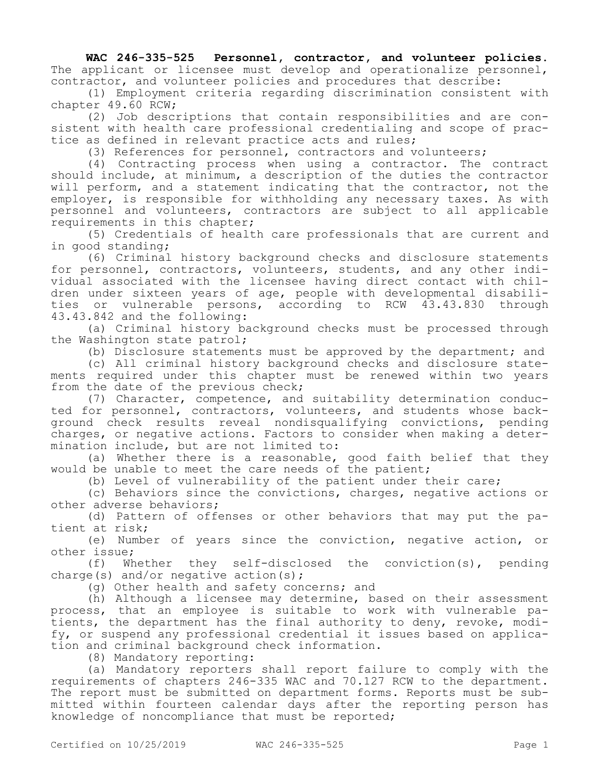**WAC 246-335-525 Personnel, contractor, and volunteer policies.**  The applicant or licensee must develop and operationalize personnel, contractor, and volunteer policies and procedures that describe:

(1) Employment criteria regarding discrimination consistent with chapter 49.60 RCW;

(2) Job descriptions that contain responsibilities and are consistent with health care professional credentialing and scope of practice as defined in relevant practice acts and rules;

(3) References for personnel, contractors and volunteers;

(4) Contracting process when using a contractor. The contract should include, at minimum, a description of the duties the contractor will perform, and a statement indicating that the contractor, not the employer, is responsible for withholding any necessary taxes. As with personnel and volunteers, contractors are subject to all applicable requirements in this chapter;

(5) Credentials of health care professionals that are current and in good standing;

(6) Criminal history background checks and disclosure statements for personnel, contractors, volunteers, students, and any other individual associated with the licensee having direct contact with children under sixteen years of age, people with developmental disabilities or vulnerable persons, according to RCW 43.43.830 through 43.43.842 and the following:

(a) Criminal history background checks must be processed through the Washington state patrol;

(b) Disclosure statements must be approved by the department; and

(c) All criminal history background checks and disclosure statements required under this chapter must be renewed within two years from the date of the previous check;

(7) Character, competence, and suitability determination conducted for personnel, contractors, volunteers, and students whose background check results reveal nondisqualifying convictions, pending charges, or negative actions. Factors to consider when making a determination include, but are not limited to:

(a) Whether there is a reasonable, good faith belief that they would be unable to meet the care needs of the patient;

(b) Level of vulnerability of the patient under their care;

(c) Behaviors since the convictions, charges, negative actions or other adverse behaviors;

(d) Pattern of offenses or other behaviors that may put the patient at risk;

(e) Number of years since the conviction, negative action, or other issue;

(f) Whether they self-disclosed the conviction(s), pending charge(s) and/or negative action(s);

(g) Other health and safety concerns; and

(h) Although a licensee may determine, based on their assessment process, that an employee is suitable to work with vulnerable patients, the department has the final authority to deny, revoke, modify, or suspend any professional credential it issues based on application and criminal background check information.

(8) Mandatory reporting:

(a) Mandatory reporters shall report failure to comply with the requirements of chapters 246-335 WAC and 70.127 RCW to the department. The report must be submitted on department forms. Reports must be submitted within fourteen calendar days after the reporting person has knowledge of noncompliance that must be reported;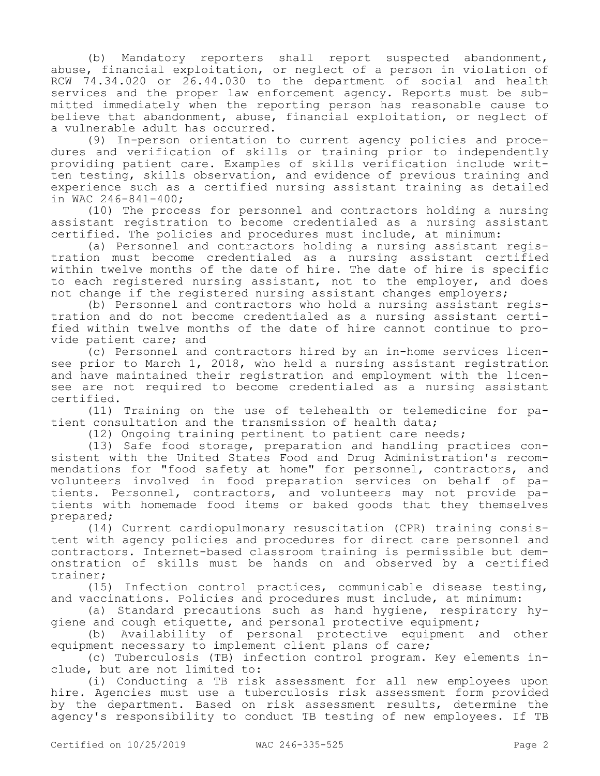(b) Mandatory reporters shall report suspected abandonment, abuse, financial exploitation, or neglect of a person in violation of RCW 74.34.020 or 26.44.030 to the department of social and health services and the proper law enforcement agency. Reports must be submitted immediately when the reporting person has reasonable cause to believe that abandonment, abuse, financial exploitation, or neglect of a vulnerable adult has occurred.

(9) In-person orientation to current agency policies and procedures and verification of skills or training prior to independently providing patient care. Examples of skills verification include written testing, skills observation, and evidence of previous training and experience such as a certified nursing assistant training as detailed in WAC 246-841-400;

(10) The process for personnel and contractors holding a nursing assistant registration to become credentialed as a nursing assistant certified. The policies and procedures must include, at minimum:

(a) Personnel and contractors holding a nursing assistant registration must become credentialed as a nursing assistant certified within twelve months of the date of hire. The date of hire is specific to each registered nursing assistant, not to the employer, and does not change if the registered nursing assistant changes employers;

(b) Personnel and contractors who hold a nursing assistant registration and do not become credentialed as a nursing assistant certified within twelve months of the date of hire cannot continue to provide patient care; and

(c) Personnel and contractors hired by an in-home services licensee prior to March 1, 2018, who held a nursing assistant registration and have maintained their registration and employment with the licensee are not required to become credentialed as a nursing assistant certified.

(11) Training on the use of telehealth or telemedicine for patient consultation and the transmission of health data;

(12) Ongoing training pertinent to patient care needs;

(13) Safe food storage, preparation and handling practices consistent with the United States Food and Drug Administration's recommendations for "food safety at home" for personnel, contractors, and volunteers involved in food preparation services on behalf of patients. Personnel, contractors, and volunteers may not provide patients with homemade food items or baked goods that they themselves prepared;

(14) Current cardiopulmonary resuscitation (CPR) training consistent with agency policies and procedures for direct care personnel and contractors. Internet-based classroom training is permissible but demonstration of skills must be hands on and observed by a certified trainer;

(15) Infection control practices, communicable disease testing, and vaccinations. Policies and procedures must include, at minimum:

(a) Standard precautions such as hand hygiene, respiratory hygiene and cough etiquette, and personal protective equipment;

(b) Availability of personal protective equipment and other equipment necessary to implement client plans of care;

(c) Tuberculosis (TB) infection control program. Key elements include, but are not limited to:

(i) Conducting a TB risk assessment for all new employees upon hire. Agencies must use a tuberculosis risk assessment form provided by the department. Based on risk assessment results, determine the agency's responsibility to conduct TB testing of new employees. If TB